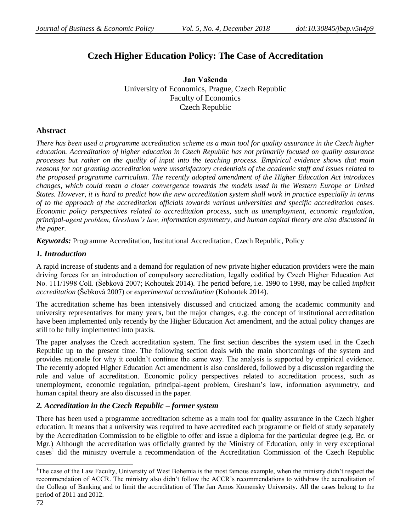# **Czech Higher Education Policy: The Case of Accreditation**

**Jan Vašenda** University of Economics, Prague, Czech Republic Faculty of Economics Czech Republic

### **Abstract**

*There has been used a programme accreditation scheme as a main tool for quality assurance in the Czech higher education. Accreditation of higher education in Czech Republic has not primarily focused on quality assurance processes but rather on the quality of input into the teaching process. Empirical evidence shows that main reasons for not granting accreditation were unsatisfactory credentials of the academic staff and issues related to the proposed programme curriculum. The recently adopted amendment of the Higher Education Act introduces changes, which could mean a closer convergence towards the models used in the Western Europe or United States. However, it is hard to predict how the new accreditation system shall work in practice especially in terms of to the approach of the accreditation officials towards various universities and specific accreditation cases. Economic policy perspectives related to accreditation process, such as unemployment, economic regulation, principal-agent problem, Gresham's law, information asymmetry, and human capital theory are also discussed in the paper.* 

*Keywords:* Programme Accreditation, Institutional Accreditation, Czech Republic, Policy

# *1. Introduction*

A rapid increase of students and a demand for regulation of new private higher education providers were the main driving forces for an introduction of compulsory accreditation, legally codified by Czech Higher Education Act No. 111/1998 Coll. (Šebková 2007; Kohoutek 2014). The period before, i.e. 1990 to 1998, may be called *implicit accreditation* (Šebková 2007) or *experimental accreditation* (Kohoutek 2014).

The accreditation scheme has been intensively discussed and criticized among the academic community and university representatives for many years, but the major changes, e.g. the concept of institutional accreditation have been implemented only recently by the Higher Education Act amendment, and the actual policy changes are still to be fully implemented into praxis.

The paper analyses the Czech accreditation system. The first section describes the system used in the Czech Republic up to the present time. The following section deals with the main shortcomings of the system and provides rationale for why it couldn't continue the same way. The analysis is supported by empirical evidence. The recently adopted Higher Education Act amendment is also considered, followed by a discussion regarding the role and value of accreditation. Economic policy perspectives related to accreditation process, such as unemployment, economic regulation, principal-agent problem, Gresham's law, information asymmetry, and human capital theory are also discussed in the paper.

# *2. Accreditation in the Czech Republic – former system*

There has been used a programme accreditation scheme as a main tool for quality assurance in the Czech higher education. It means that a university was required to have accredited each programme or field of study separately by the Accreditation Commission to be eligible to offer and issue a diploma for the particular degree (e.g. Bc. or Mgr.) Although the accreditation was officially granted by the Ministry of Education, only in very exceptional cases<sup>1</sup> did the ministry overrule a recommendation of the Accreditation Commission of the Czech Republic

 $\overline{a}$ <sup>1</sup>The case of the Law Faculty, University of West Bohemia is the most famous example, when the ministry didn't respect the recommendation of ACCR. The ministry also didn't follow the ACCR's recommendations to withdraw the accreditation of the College of Banking and to limit the accreditation of The Jan Amos Komensky University. All the cases belong to the period of 2011 and 2012.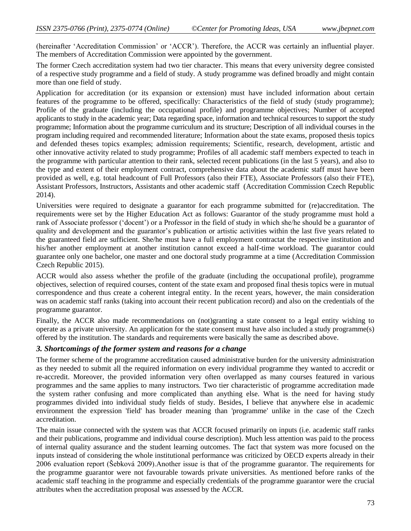(hereinafter 'Accreditation Commission' or 'ACCR'). Therefore, the ACCR was certainly an influential player. The members of Accreditation Commission were appointed by the government.

The former Czech accreditation system had two tier character. This means that every university degree consisted of a respective study programme and a field of study. A study programme was defined broadly and might contain more than one field of study.

Application for accreditation (or its expansion or extension) must have included information about certain features of the programme to be offered, specifically: Characteristics of the field of study (study programme); Profile of the graduate (including the occupational profile) and programme objectives; Number of accepted applicants to study in the academic year; Data regarding space, information and technical resources to support the study programme; Information about the programme curriculum and its structure; Description of all individual courses in the program including required and recommended literature; Information about the state exams, proposed thesis topics and defended theses topics examples; admission requirements; Scientific, research, development, artistic and other innovative activity related to study programme; Profiles of all academic staff members expected to teach in the programme with particular attention to their rank, selected recent publications (in the last 5 years), and also to the type and extent of their employment contract, comprehensive data about the academic staff must have been provided as well, e.g. total headcount of Full Professors (also their FTE), Associate Professors (also their FTE), Assistant Professors, Instructors, Assistants and other academic staff (Accreditation Commission Czech Republic 2014).

Universities were required to designate a guarantor for each programme submitted for (re)accreditation. The requirements were set by the Higher Education Act as follows: Guarantor of the study programme must hold a rank of Associate professor ('docent') or a Professor in the field of study in which she/he should be a guarantor of quality and development and the guarantor's publication or artistic activities within the last five years related to the guaranteed field are sufficient. She/he must have a full employment contractat the respective institution and his/her another employment at another institution cannot exceed a half-time workload. The guarantor could guarantee only one bachelor, one master and one doctoral study programme at a time (Accreditation Commission Czech Republic 2015).

ACCR would also assess whether the profile of the graduate (including the occupational profile), programme objectives, selection of required courses, content of the state exam and proposed final thesis topics were in mutual correspondence and thus create a coherent integral entity. In the recent years, however, the main consideration was on academic staff ranks (taking into account their recent publication record) and also on the credentials of the programme guarantor.

Finally, the ACCR also made recommendations on (not)granting a state consent to a legal entity wishing to operate as a private university. An application for the state consent must have also included a study programme(s) offered by the institution. The standards and requirements were basically the same as described above.

### *3. Shortcomings of the former system and reasons for a change*

The former scheme of the programme accreditation caused administrative burden for the university administration as they needed to submit all the required information on every individual programme they wanted to accredit or re-accredit. Moreover, the provided information very often overlapped as many courses featured in various programmes and the same applies to many instructors. Two tier characteristic of programme accreditation made the system rather confusing and more complicated than anything else. What is the need for having study programmes divided into individual study fields of study. Besides, I believe that anywhere else in academic environment the expression 'field' has broader meaning than 'programme' unlike in the case of the Czech accreditation.

The main issue connected with the system was that ACCR focused primarily on inputs (i.e. academic staff ranks and their publications, programme and individual course description). Much less attention was paid to the process of internal quality assurance and the student learning outcomes. The fact that system was more focused on the inputs instead of considering the whole institutional performance was criticized by OECD experts already in their 2006 evaluation report (Šebková 2009).Another issue is that of the programme guarantor. The requirements for the programme guarantor were not favourable towards private universities. As mentioned before ranks of the academic staff teaching in the programme and especially credentials of the programme guarantor were the crucial attributes when the accreditation proposal was assessed by the ACCR.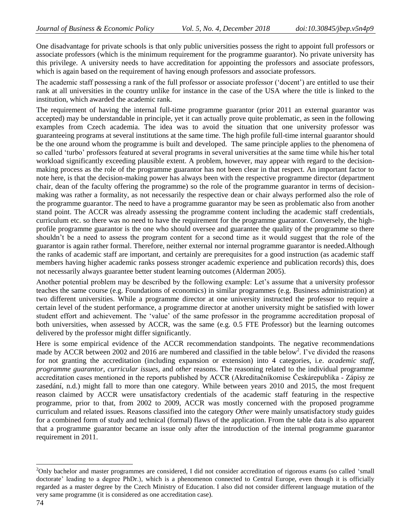One disadvantage for private schools is that only public universities possess the right to appoint full professors or associate professors (which is the minimum requirement for the programme guarantor). No private university has this privilege. A university needs to have accreditation for appointing the professors and associate professors, which is again based on the requirement of having enough professors and associate professors.

The academic staff possessing a rank of the full professor or associate professor ('docent') are entitled to use their rank at all universities in the country unlike for instance in the case of the USA where the title is linked to the institution, which awarded the academic rank.

The requirement of having the internal full-time programme guarantor (prior 2011 an external guarantor was accepted) may be understandable in principle, yet it can actually prove quite problematic, as seen in the following examples from Czech academia. The idea was to avoid the situation that one university professor was guaranteeing programs at several institutions at the same time. The high profile full-time internal guarantor should be the one around whom the programme is built and developed. The same principle applies to the phenomena of so called 'turbo' professors featured at several programs in several universities at the same time while his/her total workload significantly exceeding plausible extent. A problem, however, may appear with regard to the decisionmaking process as the role of the programme guarantor has not been clear in that respect. An important factor to note here, is that the decision-making power has always been with the respective programme director (department chair, dean of the faculty offering the programme) so the role of the programme guarantor in terms of decisionmaking was rather a formality, as not necessarily the respective dean or chair always performed also the role of the programme guarantor. The need to have a programme guarantor may be seen as problematic also from another stand point. The ACCR was already assessing the programme content including the academic staff credentials, curriculum etc. so there was no need to have the requirement for the programme guarantor. Conversely, the highprofile programme guarantor is the one who should oversee and guarantee the quality of the programme so there shouldn't be a need to assess the program content for a second time as it would suggest that the role of the guarantor is again rather formal. Therefore, neither external nor internal programme guarantor is needed.Although the ranks of academic staff are important, and certainly are prerequisites for a good instruction (as academic staff members having higher academic ranks possess stronger academic experience and publication records) this, does not necessarily always guarantee better student learning outcomes (Alderman 2005).

Another potential problem may be described by the following example: Let's assume that a university professor teaches the same course (e.g. Foundations of economics) in similar programmes (e.g. Business administration) at two different universities. While a programme director at one university instructed the professor to require a certain level of the student performance, a programme director at another university might be satisfied with lower student effort and achievement. The 'value' of the same professor in the programme accreditation proposal of both universities, when assessed by ACCR, was the same (e.g. 0.5 FTE Professor) but the learning outcomes delivered by the professor might differ significantly.

Here is some empirical evidence of the ACCR recommendation standpoints. The negative recommendations made by ACCR between 2002 and 2016 are numbered and classified in the table below<sup>2</sup>. I've divided the reasons for not granting the accreditation (including expansion or extension) into 4 categories, i.e. *academic staff*, *programme guarantor*, *curricular issues*, and *other* reasons. The reasoning related to the individual programme accreditation cases mentioned in the reports published by ACCR (Akreditačníkomise Českárepublika - Zápisy ze zasedání, n.d.) might fall to more than one category. While between years 2010 and 2015, the most frequent reason claimed by ACCR were unsatisfactory credentials of the academic staff featuring in the respective programme, prior to that, from 2002 to 2009, ACCR was mostly concerned with the proposed programme curriculum and related issues. Reasons classified into the category *Other* were mainly unsatisfactory study guides for a combined form of study and technical (formal) flaws of the application. From the table data is also apparent that a programme guarantor became an issue only after the introduction of the internal programme guarantor requirement in 2011.

 $\overline{a}$ 

<sup>&</sup>lt;sup>2</sup>Only bachelor and master programmes are considered, I did not consider accreditation of rigorous exams (so called 'small doctorate' leading to a degree PhDr.), which is a phenomenon connected to Central Europe, even though it is officially regarded as a master degree by the Czech Ministry of Education. I also did not consider different language mutation of the very same programme (it is considered as one accreditation case).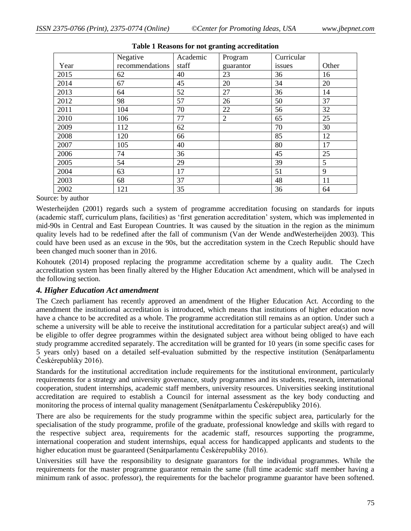|      | Negative        | Academic | Program        | Curricular |       |
|------|-----------------|----------|----------------|------------|-------|
| Year | recommendations | staff    | guarantor      | issues     | Other |
| 2015 | 62              | 40       | 23             | 36         | 16    |
| 2014 | 67              | 45       | 20             | 34         | 20    |
| 2013 | 64              | 52       | 27             | 36         | 14    |
| 2012 | 98              | 57       | 26             | 50         | 37    |
| 2011 | 104             | 70       | 22             | 56         | 32    |
| 2010 | 106             | 77       | $\overline{2}$ | 65         | 25    |
| 2009 | 112             | 62       |                | 70         | 30    |
| 2008 | 120             | 66       |                | 85         | 12    |
| 2007 | 105             | 40       |                | 80         | 17    |
| 2006 | 74              | 36       |                | 45         | 25    |
| 2005 | 54              | 29       |                | 39         | 5     |
| 2004 | 63              | 17       |                | 51         | 9     |
| 2003 | 68              | 37       |                | 48         | 11    |
| 2002 | 121             | 35       |                | 36         | 64    |

#### **Table 1 Reasons for not granting accreditation**

#### Source: by author

Westerheijden (2001) regards such a system of programme accreditation focusing on standards for inputs (academic staff, curriculum plans, facilities) as 'first generation accreditation' system, which was implemented in mid-90s in Central and East European Countries. It was caused by the situation in the region as the minimum quality levels had to be redefined after the fall of communism (Van der Wende andWesterheijden 2003). This could have been used as an excuse in the 90s, but the accreditation system in the Czech Republic should have been changed much sooner than in 2016.

Kohoutek (2014) proposed replacing the programme accreditation scheme by a quality audit. The Czech accreditation system has been finally altered by the Higher Education Act amendment, which will be analysed in the following section.

### *4. Higher Education Act amendment*

The Czech parliament has recently approved an amendment of the Higher Education Act. According to the amendment the institutional accreditation is introduced, which means that institutions of higher education now have a chance to be accredited as a whole. The programme accreditation still remains as an option. Under such a scheme a university will be able to receive the institutional accreditation for a particular subject area(s) and will be eligible to offer degree programmes within the designated subject area without being obliged to have each study programme accredited separately. The accreditation will be granted for 10 years (in some specific cases for 5 years only) based on a detailed self-evaluation submitted by the respective institution (Senátparlamentu Českérepubliky 2016).

Standards for the institutional accreditation include requirements for the institutional environment, particularly requirements for a strategy and university governance, study programmes and its students, research, international cooperation, student internships, academic staff members, university resources. Universities seeking institutional accreditation are required to establish a Council for internal assessment as the key body conducting and monitoring the process of internal quality management (Senátparlamentu Českérepubliky 2016).

There are also be requirements for the study programme within the specific subject area, particularly for the specialisation of the study programme, profile of the graduate, professional knowledge and skills with regard to the respective subject area, requirements for the academic staff, resources supporting the programme, international cooperation and student internships, equal access for handicapped applicants and students to the higher education must be guaranteed (Senátparlamentu Českérepubliky 2016).

Universities still have the responsibility to designate guarantors for the individual programmes. While the requirements for the master programme guarantor remain the same (full time academic staff member having a minimum rank of assoc. professor), the requirements for the bachelor programme guarantor have been softened.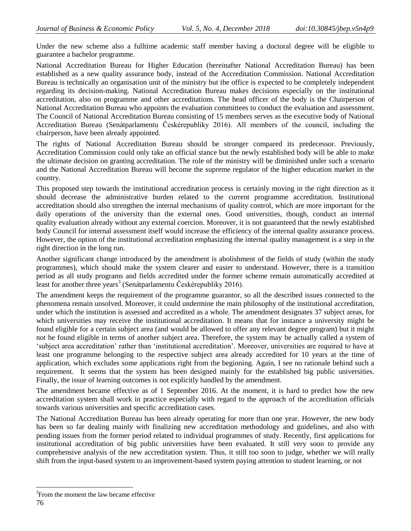Under the new scheme also a fulltime academic staff member having a doctoral degree will be eligible to guarantee a bachelor programme.

National Accreditation Bureau for Higher Education (hereinafter National Accreditation Bureau) has been established as a new quality assurance body, instead of the Accreditation Commission. National Accreditation Bureau is technically an organisation unit of the ministry but the office is expected to be completely independent regarding its decision-making. National Accreditation Bureau makes decisions especially on the institutional accreditation, also on programme and other accreditations. The head officer of the body is the Chairperson of National Accreditation Bureau who appoints the evaluation committees to conduct the evaluation and assessment. The Council of National Accreditation Bureau consisting of 15 members serves as the executive body of National Accreditation Bureau (Senátparlamentu Českérepubliky 2016). All members of the council, including the chairperson, have been already appointed.

The rights of National Accreditation Bureau should be stronger compared its predecessor. Previously, Accreditation Commission could only take an official stance but the newly established body will be able to make the ultimate decision on granting accreditation. The role of the ministry will be diminished under such a scenario and the National Accreditation Bureau will become the supreme regulator of the higher education market in the country.

This proposed step towards the institutional accreditation process is certainly moving in the right direction as it should decrease the administrative burden related to the current programme accreditation. Institutional accreditation should also strengthen the internal mechanisms of quality control, which are more important for the daily operations of the university than the external ones. Good universities, though, conduct an internal quality evaluation already without any external coercion. Moreover, it is not guaranteed that the newly established body Council for internal assessment itself would increase the efficiency of the internal quality assurance process. However, the option of the institutional accreditation emphasizing the internal quality management is a step in the right direction in the long run.

Another significant change introduced by the amendment is abolishment of the fields of study (within the study programmes), which should make the system clearer and easier to understand. However, there is a transition period as all study programs and fields accredited under the former scheme remain automatically accredited at least for another three years<sup>3</sup> (Senátparlamentu Českérepubliky 2016).

The amendment keeps the requirement of the programme guarantor, so all the described issues connected to the phenomena remain unsolved. Moreover, it could undermine the main philosophy of the institutional accreditation, under which the institution is assessed and accredited as a whole. The amendment designates 37 subject areas, for which universities may receive the institutional accreditation. It means that for instance a university might be found eligible for a certain subject area (and would be allowed to offer any relevant degree program) but it might not be found eligible in terms of another subject area. Therefore, the system may be actually called a system of 'subject area accreditation' rather than 'institutional accreditation'. Moreover, universities are required to have at least one programme belonging to the respective subject area already accredited for 10 years at the time of application, which excludes some applications right from the beginning. Again, I see no rationale behind such a requirement. It seems that the system has been designed mainly for the established big public universities. Finally, the issue of learning outcomes is not explicitly handled by the amendment.

The amendment became effective as of 1 September 2016. At the moment, it is hard to predict how the new accreditation system shall work in practice especially with regard to the approach of the accreditation officials towards various universities and specific accreditation cases.

The National Accreditation Bureau has been already operating for more than one year. However, the new body has been so far dealing mainly with finalizing new accreditation methodology and guidelines, and also with pending issues from the former period related to individual programmes of study. Recently, first applications for institutional accreditation of big public universities have been evaluated. It still very soon to provide any comprehensive analysis of the new accreditation system. Thus, it still too soon to judge, whether we will really shift from the input-based system to an improvement-based system paying attention to student learning, or not

 $\overline{a}$ 

 ${}^{3}$ From the moment the law became effective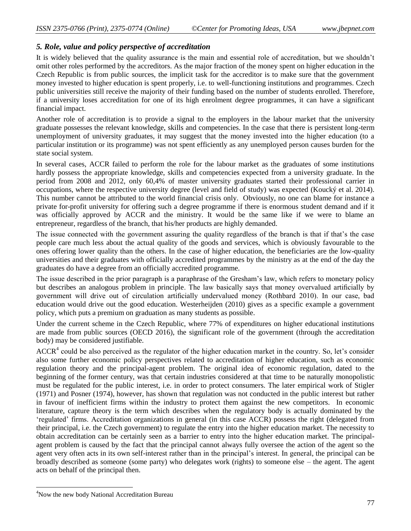### *5. Role, value and policy perspective of accreditation*

It is widely believed that the quality assurance is the main and essential role of accreditation, but we shouldn't omit other roles performed by the accreditors. As the major fraction of the money spent on higher education in the Czech Republic is from public sources, the implicit task for the accreditor is to make sure that the government money invested to higher education is spent properly, i.e. to well-functioning institutions and programmes. Czech public universities still receive the majority of their funding based on the number of students enrolled. Therefore, if a university loses accreditation for one of its high enrolment degree programmes, it can have a significant financial impact.

Another role of accreditation is to provide a signal to the employers in the labour market that the university graduate possesses the relevant knowledge, skills and competencies. In the case that there is persistent long-term unemployment of university graduates, it may suggest that the money invested into the higher education (to a particular institution or its programme) was not spent efficiently as any unemployed person causes burden for the state social system.

In several cases, ACCR failed to perform the role for the labour market as the graduates of some institutions hardly possess the appropriate knowledge, skills and competencies expected from a university graduate. In the period from 2008 and 2012, only 60,4% of master university graduates started their professional carrier in occupations, where the respective university degree (level and field of study) was expected (Koucký et al. 2014). This number cannot be attributed to the world financial crisis only. Obviously, no one can blame for instance a private for-profit university for offering such a degree programme if there is enormous student demand and if it was officially approved by ACCR and the ministry. It would be the same like if we were to blame an entrepreneur, regardless of the branch, that his/her products are highly demanded.

The issue connected with the government assuring the quality regardless of the branch is that if that's the case people care much less about the actual quality of the goods and services, which is obviously favourable to the ones offering lower quality than the others. In the case of higher education, the beneficiaries are the low-quality universities and their graduates with officially accredited programmes by the ministry as at the end of the day the graduates do have a degree from an officially accredited programme.

The issue described in the prior paragraph is a paraphrase of the Gresham's law, which refers to monetary policy but describes an analogous problem in principle. The law basically says that money overvalued artificially by government will drive out of circulation artificially undervalued money (Rothbard 2010). In our case, bad education would drive out the good education. Westerheijden (2010) gives as a specific example a government policy, which puts a premium on graduation as many students as possible.

Under the current scheme in the Czech Republic, where 77% of expenditures on higher educational institutions are made from public sources (OECD 2016), the significant role of the government (through the accreditation body) may be considered justifiable.

 $ACCR<sup>4</sup>$  could be also perceived as the regulator of the higher education market in the country. So, let's consider also some further economic policy perspectives related to accreditation of higher education, such as economic regulation theory and the principal-agent problem. The original idea of economic regulation, dated to the beginning of the former century, was that certain industries considered at that time to be naturally monopolistic must be regulated for the public interest, i.e. in order to protect consumers. The later empirical work of Stigler (1971) and Posner (1974), however, has shown that regulation was not conducted in the public interest but rather in favour of inefficient firms within the industry to protect them against the new competitors. In economic literature, capture theory is the term which describes when the regulatory body is actually dominated by the 'regulated' firms. Accreditation organizations in general (in this case ACCR) possess the right (delegated from their principal, i.e. the Czech government) to regulate the entry into the higher education market. The necessity to obtain accreditation can be certainly seen as a barrier to entry into the higher education market. The principalagent problem is caused by the fact that the principal cannot always fully oversee the action of the agent so the agent very often acts in its own self-interest rather than in the principal's interest. In general, the principal can be broadly described as someone (some party) who delegates work (rights) to someone else – the agent. The agent acts on behalf of the principal then.

 $\overline{a}$ 

<sup>&</sup>lt;sup>4</sup>Now the new body National Accreditation Bureau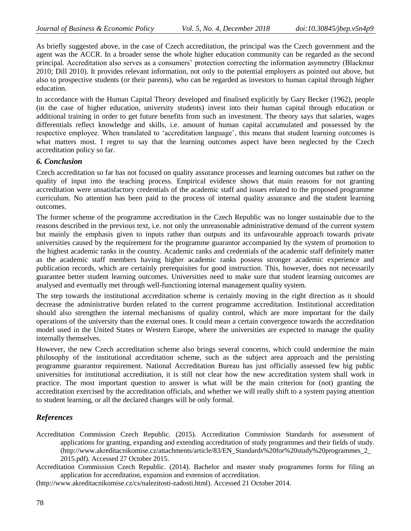As briefly suggested above, in the case of Czech accreditation, the principal was the Czech government and the agent was the ACCR. In a broader sense the whole higher education community can be regarded as the second principal. Accreditation also serves as a consumers' protection correcting the information asymmetry (Blackmur 2010; Dill 2010). It provides relevant information, not only to the potential employers as pointed out above, but also to prospective students (or their parents), who can be regarded as investors to human capital through higher education.

In accordance with the Human Capital Theory developed and finalised explicitly by Gary Becker (1962), people (in the case of higher education, university students) invest into their human capital through education or additional training in order to get future benefits from such an investment. The theory says that salaries, wages differentials reflect knowledge and skills, i.e. amount of human capital accumulated and possessed by the respective employee. When translated to 'accreditation language', this means that student learning outcomes is what matters most. I regret to say that the learning outcomes aspect have been neglected by the Czech accreditation policy so far.

### *6. Conclusion*

Czech accreditation so far has not focused on quality assurance processes and learning outcomes but rather on the quality of input into the teaching process. Empirical evidence shows that main reasons for not granting accreditation were unsatisfactory credentials of the academic staff and issues related to the proposed programme curriculum. No attention has been paid to the process of internal quality assurance and the student learning outcomes.

The former scheme of the programme accreditation in the Czech Republic was no longer sustainable due to the reasons described in the previous text, i.e. not only the unreasonable administrative demand of the current system but mainly the emphasis given to inputs rather than outputs and its unfavourable approach towards private universities caused by the requirement for the programme guarantor accompanied by the system of promotion to the highest academic ranks in the country. Academic ranks and credentials of the academic staff definitely matter as the academic staff members having higher academic ranks possess stronger academic experience and publication records, which are certainly prerequisites for good instruction. This, however, does not necessarily guarantee better student learning outcomes. Universities need to make sure that student learning outcomes are analysed and eventually met through well-functioning internal management quality system.

The step towards the institutional accreditation scheme is certainly moving in the right direction as it should decrease the administrative burden related to the current programme accreditation. Institutional accreditation should also strengthen the internal mechanisms of quality control, which are more important for the daily operations of the university than the external ones. It could mean a certain convergence towards the accreditation model used in the United States or Western Europe, where the universities are expected to manage the quality internally themselves.

However, the new Czech accreditation scheme also brings several concerns, which could undermine the main philosophy of the institutional accreditation scheme, such as the subject area approach and the persisting programme guarantor requirement. National Accreditation Bureau has just officially assessed few big public universities for institutional accreditation, it is still not clear how the new accreditation system shall work in practice. The most important question to answer is what will be the main criterion for (not) granting the accreditation exercised by the accreditation officials, and whether we will really shift to a system paying attention to student learning, or all the declared changes will be only formal.

# *References*

- Accreditation Commission Czech Republic. (2015). Accreditation Commission Standards for assessment of applications for granting, expanding and extending accreditation of study programmes and their fields of study. [\(http://www.akreditacnikomise.cz/attachments/article/83/EN\\_Standards%20for%20study%20programmes\\_2\\_](http://www.akreditacnikomise.cz/attachments/article/83/EN_Standards%20for%20study%20programmes_2_2015.pdf) [2015.pdf\)](http://www.akreditacnikomise.cz/attachments/article/83/EN_Standards%20for%20study%20programmes_2_2015.pdf). Accessed 27 October 2015.
- Accreditation Commission Czech Republic. (2014). Bachelor and master study programmes forms for filing an application for accreditation, expansion and extension of accreditation.
- [\(http://www.akreditacnikomise.cz/cs/nalezitosti-zadosti.html\)](http://www.akreditacnikomise.cz/cs/nalezitosti-zadosti.html). Accessed 21 October 2014.